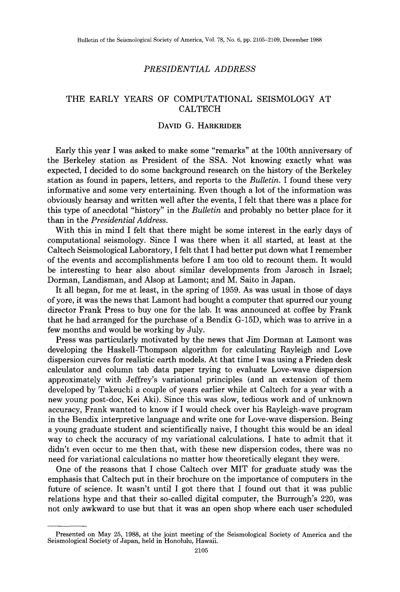## *PRESIDENTIAL ADDRESS*

## THE EARLY YEARS OF COMPUTATIONAL SEISMOLOGY AT CALTECH

## DAVID G. HARKRIDER

Early this year I was asked to make some "remarks" at the 100th anniversary of the Berkeley station as President of the SSA. Not knowing exactly what was expected, I decided to do some background research on the history of the Berkeley station as found in papers, letters, and reports to the *Bulletin.* I found these very informative and some very entertaining. Even though a lot of the information was obviously hearsay and written well after the events, I felt that there was a place for this type of anecdotal "history" in the *Bulletin* and probably no better place for it than in the *Presidential Address.* 

With this in mind I felt that there might be some interest in the early days of computational seismology. Since I was there when it all started, at least at the Caltech Seismological Laboratory, I felt that I had better put down what I remember of the events and accomplishments before I am too old to recount them. It would be interesting to hear also about similar developments from Jarosch in Israel; Dorman, Landisman, and Alsop at Lamont; and M. Saito in Japan.

It all began, for me at least, in the spring of 1959. As was usual in those of days of yore, it was the news that Lamont had bought a computer that spurred our young director Frank Press to buy one for the lab. It was announced at coffee by Frank that he had arranged for the purchase of a Bendix G-15D, which was to arrive in a few months and would be working by July.

Press was particularly motivated by the news that Jim Dorman at Lamont was developing the Haskell-Thompson algorithm for calculating Rayleigh and Love dispersion curves for realistic earth models. At that time I was using a Frieden desk calculator and column tab data paper trying to evaluate Love-wave dispersion approximately with Jeffrey's variational principles (and an extension of them developed by Takeuchi a couple of years earlier while at Caltech for a year with a new young post-doc, Kei Aki). Since this was slow, tedious work and of unknown accuracy, Frank wanted to know if I would check over his Rayleigh-wave program in the Bendix interpretive language and write one for Love-wave dispersion. Being a young graduate student and scientifically naive, I thought this would be an ideal way to check the accuracy of my variational calculations. I hate to admit that it didn't even occur to me then that, with these new dispersion codes, there was no need for variational calculations no matter how theoretically elegant they were.

One of the reasons that I chose Caltech over MIT for graduate study was the emphasis that Caltech put in their brochure on the importance of computers in the future of science. It wasn't until I got there that I found out that it was public relations hype and that their so-called digital computer, the Burrough's 220, was not only awkward to use but that it was an open shop where each user scheduled

Presented on May 25, 1988, at the joint meeting of the Seismological Society of America and the Seismological Society of Japan, held in Honolulu, Hawaii.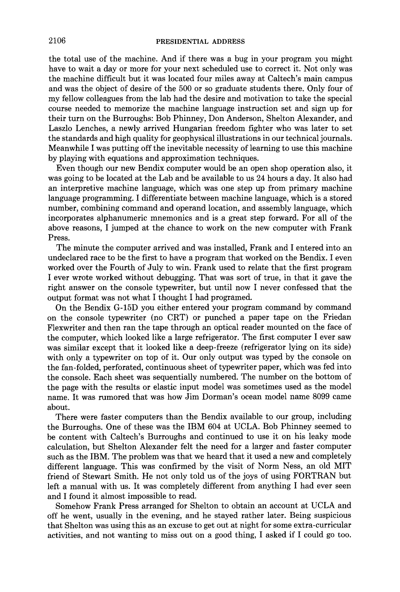the total use of the machine. And if there was a bug in your program you might have to wait a day or more for your next scheduled use to correct it. Not only was the machine difficult but it was located four miles away at Caltech's main campus and was the object of desire of the 500 or so graduate students there. Only four of my fellow colleagues from the lab had the desire and motivation to take the special course needed to memorize the machine language instruction set and sign up for their turn on the Burroughs: Bob Phinney, Don Anderson, Shelton Alexander, and Laszlo Lenches, a newly arrived Hungarian freedom fighter who was later to set the standards and high quality for geophysical illustrations in our technical journals. Meanwhile I was putting off the inevitable necessity of learning to use this machine by playing with equations and approximation techniques.

Even though our new Bendix computer would be an open shop operation also, it was going to be located at the Lab and be available to us 24 hours a day. It also had an interpretive machine language, which was one step up from primary machine language programming. I differentiate between machine language, which is a stored number, combining command and operand location, and assembly language, which incorporates alphanumeric mnemonics and is a great step forward. For all of the above reasons, I jumped at the chance to work on the new computer with Frank Press.

The minute the computer arrived and was installed, Frank and I entered into an undeclared race to be the first to have a program that worked on the Bendix. I even worked over the Fourth of July to win. Frank used to relate that the first program I ever wrote worked without debugging. That was sort of true, in that it gave the right answer on the console typewriter, but until now I never confessed that the output format was not what I thought I had programed.

On the Bendix G-15D you either entered your program command by command on the console typewriter (no CRT) or punched a paper tape on the Friedan Flexwriter and then ran the tape through an optical reader mounted on the face of the computer, which looked like a large refrigerator. The first computer I ever saw was similar except that it looked like a deep-freeze (refrigerator lying on its side) with only a typewriter on top of it. Our only output was typed by the console on the fan-folded, perforated, continuous sheet of typewriter paper, which was fed into the console. Each sheet was sequentially numbered. The number on the bottom of the page with the results or elastic input model was sometimes used as the model name. It was rumored that was how Jim Dorman's ocean model name 8099 came about.

There were faster computers than the Bendix available to our group, including the Burroughs. One of these was the IBM 604 at UCLA. Bob Phinney seemed to be content with Caltech's Burroughs and continued to use it on his leaky mode calculation, but Shelton Alexander felt the need for a larger and faster computer such as the IBM. The problem was that we heard that it used a new and completely different language. This was confirmed by the visit of Norm Ness, an old MIT friend of Stewart Smith. He not only told us of the joys of using FORTRAN but left a manual with us. It was completely different from anything I had ever seen and I found it almost impossible to read.

Somehow Frank Press arranged for Shelton to obtain an account at UCLA and off he went, usually in the evening, and he stayed rather later. Being suspicious that Shelton was using this as an excuse to get out at night for some extra-curricular activities, and not wanting to miss out on a good thing, I asked if I could go too.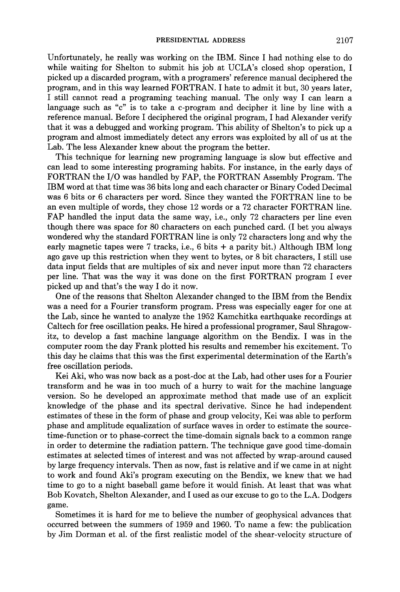Unfortunately, he really was working on the IBM. Since I had nothing else to do while waiting for Shelton to submit his job at UCLA's closed shop operation, I picked up a discarded program, with a programers' reference manual deciphered the program, and in this way learned FORTRAN. I hate to admit it but, 30 years later, I still cannot read a programing teaching manual. The only way I can learn a language such as "c" is to take a c-program and decipher it line by line with a reference manual. Before I deciphered the original program, I had Alexander verify that it was a debugged and working program. This ability of Shelton's to pick up a program and almost immediately detect any errors was exploited by all of us at the Lab. The less Alexander knew about the program the better.

This technique for learning new programing language is slow but effective and can lead to some interesting programing habits. For instance, in the early days of FORTRAN the I/O was handled by FAP, the FORTRAN Assembly Program. The IBM word at that time was 36 bits long and each character or Binary Coded Decimal was 6 bits or 6 characters per word. Since they wanted the FORTRAN line to be an even multiple of words, they chose 12 words or a 72 character FORTRAN line. FAP handled the input data the same way, i.e., only 72 characters per line even though there was space for 80 characters on each punched card. (I bet you always wondered why the standard FORTRAN line is only 72 characters long and why the early magnetic tapes were 7 tracks, i.e.,  $6 \text{ bits } +$  a parity bit.) Although IBM long ago gave up this restriction when they went to bytes, or 8 bit characters, I still use data input fields that are multiples of six and never input more than 72 characters per line. That was the way it was done on the first FORTRAN program I ever picked up and that's the way I do it now.

One of the reasons that Shelton Alexander changed to the IBM from the Bendix was a need for a Fourier transform program. Press was especially eager for one at the Lab, since he wanted to analyze the 1952 Kamchitka earthquake recordings at Caltech for free oscillation peaks. He hired a professional programer, Saul Shragowitz, to develop a fast machine language algorithm on the Bendix. I was in the computer room the day Frank plotted his results and remember his excitement. To this day he claims that this was the first experimental determination of the Earth's free oscillation periods.

Kei Aki, who was now back as a post-doc at the Lab, had other uses for a Fourier transform and he was in too much of a hurry to wait for the machine language version. So he developed an approximate method that made use of an explicit knowledge of the phase and its spectral derivative. Since he had independent estimates of these in the form of phase and group velocity, Kei was able to perform phase and amplitude equalization of surface waves in order to estimate the sourcetime-function or to phase-correct the time-domain signals back to a common range in order to determine the radiation pattern. The technique gave good time-domain estimates at selected times of interest and was not affected by wrap-around caused by large frequency intervals. Then as now, fast is relative and if we came in at night to work and found Aki's program executing on the Bendix, we knew that we had time to go to a night baseball game before it would finish. At least that was what Bob Kovatch, Shelton Alexander, and I used as our excuse to go to the L.A. Dodgers game.

Sometimes it is hard for me to believe the number of geophysical advances that occurred between the summers of 1959 and 1960. To name a few: the publication by Jim Dorman et al. of the first realistic model of the shear-velocity structure of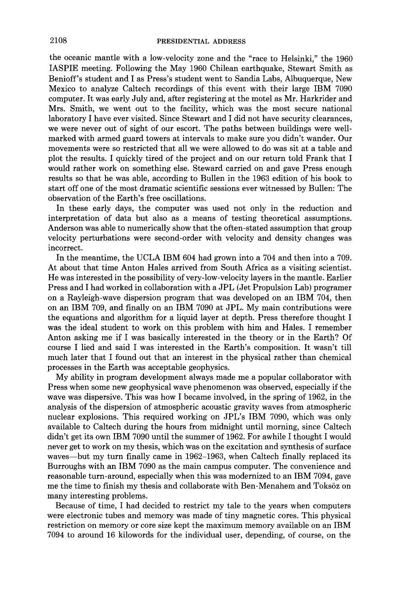the oceanic mantle with a low-velocity zone and the "race to Helsinki," the 1960 IASPIE meeting. Following the May 1960 Chilean earthquake, Stewart Smith as Benioff's student and I as Press's student went to Sandia Labs, Albuquerque, New Mexico to analyze Caltech recordings of this event with their large IBM 7090 computer. It was early July and, after registering at the motel as Mr. Harkrider and Mrs. Smith, we went out to the facility, which was the most secure national laboratory I have ever visited. Since Stewart and I did not have security clearances, we were never out of sight of our escort. The paths between buildings were wellmarked with armed guard towers at intervals to make sure you didn't wander. Our movements were so restricted that all we were allowed to do was sit at a table and plot the results. I quickly tired of the project and on our return told Frank that I would rather work on something else. Steward carried on and gave Press enough results so that he was able, according to Bullen in the 1963 edition of his book to start off one of the most dramatic scientific sessions ever witnessed by Bullen: The observation of the Earth's free oscillations.

In these early days, the computer was used not only in the reduction and interpretation of data but also as a means of testing theoretical assumptions. Anderson was able to numerically show that the often-stated assumption that group velocity perturbations were second-order with velocity and density changes was incorrect.

In the meantime, the UCLA IBM 604 had grown into a 704 and then into a 709. At about that time Anton Hales arrived from South Africa as a visiting scientist. He was interested in the possibility of very-low-velocity layers in the mantle. Earlier Press and I had worked in collaboration with a JPL (Jet Propulsion Lab) programer on a Rayleigh-wave dispersion program that was developed on an IBM 704, then on an IBM 709, and finally on an IBM 7090 at JPL. My main contributions were the equations and algorithm for a liquid layer at depth. Press therefore thought I was the ideal student to work on this problem with him and Hales. I remember Anton asking me if I was basically interested in the theory or in the Earth? Of course I lied and said I was interested in the Earth's composition. It wasn't till much later that I found out that an interest in the physical rather than chemical processes in the Earth was acceptable geophysics.

My ability in program development always made me a popular collaborator with Press when some new geophysical wave phenomenon was observed, especially if the wave was dispersive. This was how I became involved, in the spring of 1962, in the analysis of the dispersion of atmospheric acoustic gravity waves from atmospheric nuclear explosions. This required working on JPL's IBM 7090, which was only available to Caltech during the hours from midnight until morning, since Caltech didn't get its own IBM 7090 until the summer of 1962. For awhile I thought I would never get to work on my thesis, which was on the excitation and synthesis of surface waves—but my turn finally came in 1962–1963, when Caltech finally replaced its Burroughs with an IBM 7090 as the main campus computer. The convenience and reasonable turn-around, especially when this was modernized to an IBM 7094, gave me the time to finish my thesis and collaborate with Ben-Menahem and Toksöz on many interesting problems.

Because of time, I had decided to restrict my tale to the years when computers were electronic tubes and memory was made of tiny magnetic cores. This physical restriction on memory or core size kept the maximum memory available on an IBM 7094 to around 16 kilowords for the individual user, depending, of course, on the